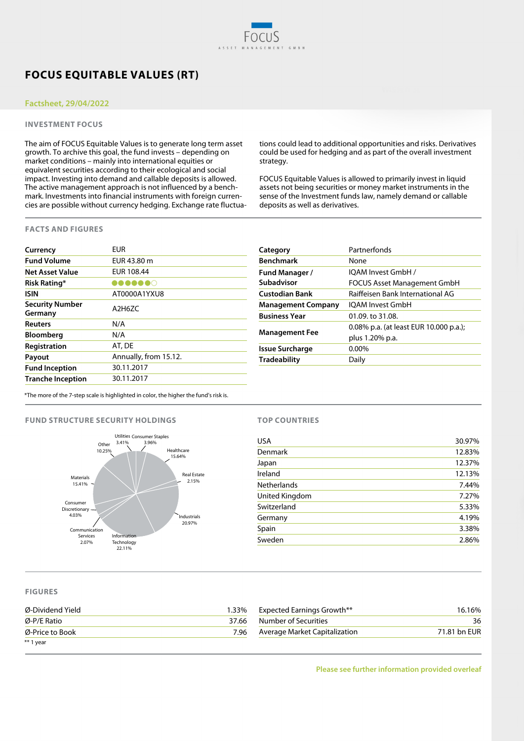# **FOCUS EQUITABLE VALUES (RT)**

## **Factsheet, 29/04/2022**

## **INVESTMENT FOCUS**

The aim of FOCUS Equitable Values is to generate long term asset growth. To archive this goal, the fund invests – depending on market conditions – mainly into international equities or equivalent securities according to their ecological and social impact. Investing into demand and callable deposits is allowed. The active management approach is not influenced by a benchmark. Investments into financial instruments with foreign currencies are possible without currency hedging. Exchange rate fluctuations could lead to additional opportunities and risks. Derivatives could be used for hedging and as part of the overall investment strategy.

FOCUS Equitable Values is allowed to primarily invest in liquid assets not being securities or money market instruments in the sense of the Investment funds law, namely demand or callable deposits as well as derivatives.

### **FACTS AND FIGURES**

| Currency                          | <b>EUR</b>            |
|-----------------------------------|-----------------------|
| <b>Fund Volume</b>                | EUR 43.80 m           |
| <b>Net Asset Value</b>            | EUR 108.44            |
| Risk Rating*                      | BOOOOO                |
| <b>ISIN</b>                       | AT0000A1YXU8          |
| <b>Security Number</b><br>Germany | $A$ 2H67C             |
| <b>Reuters</b>                    | N/A                   |
| <b>Bloomberg</b>                  | N/A                   |
| Registration                      | AT, DE                |
| Payout                            | Annually, from 15.12. |
| <b>Fund Inception</b>             | 30.11.2017            |
| <b>Tranche Inception</b>          | 30.11.2017            |

| Partnerfonds                           |  |  |  |  |
|----------------------------------------|--|--|--|--|
| None                                   |  |  |  |  |
| IOAM Invest GmbH /                     |  |  |  |  |
| <b>FOCUS Asset Management GmbH</b>     |  |  |  |  |
| Raiffeisen Bank International AG       |  |  |  |  |
| <b>IOAM Invest GmbH</b>                |  |  |  |  |
| 01.09. to 31.08.                       |  |  |  |  |
| 0.08% p.a. (at least EUR 10.000 p.a.); |  |  |  |  |
| plus 1.20% p.a.                        |  |  |  |  |
| $0.00\%$                               |  |  |  |  |
| Daily                                  |  |  |  |  |
|                                        |  |  |  |  |

\*The more of the 7-step scale is highlighted in color, the higher the fund's risk is.

### **FUND STRUCTURE SECURITY HOLDINGS**



## **TOP COUNTRIES**

| <b>USA</b>         | 30.97% |
|--------------------|--------|
| Denmark            | 12.83% |
| Japan              | 12.37% |
| Ireland            | 12.13% |
| <b>Netherlands</b> | 7.44%  |
| United Kingdom     | 7.27%  |
| Switzerland        | 5.33%  |
| Germany            | 4.19%  |
| Spain              | 3.38%  |
| Sweden             | 2.86%  |

### **FIGURES**

| Ø-Dividend Yield | 1.33% | <b>Expected Earnings Growth**</b> | 16.16%       |
|------------------|-------|-----------------------------------|--------------|
| $Ø$ -P/E Ratio   | 37.66 | Number of Securities              | 36           |
| Ø-Price to Book  | 7.96  | Average Market Capitalization     | 71.81 bn EUR |
| ** 1 year        |       |                                   |              |

**Please see further information provided overleaf**